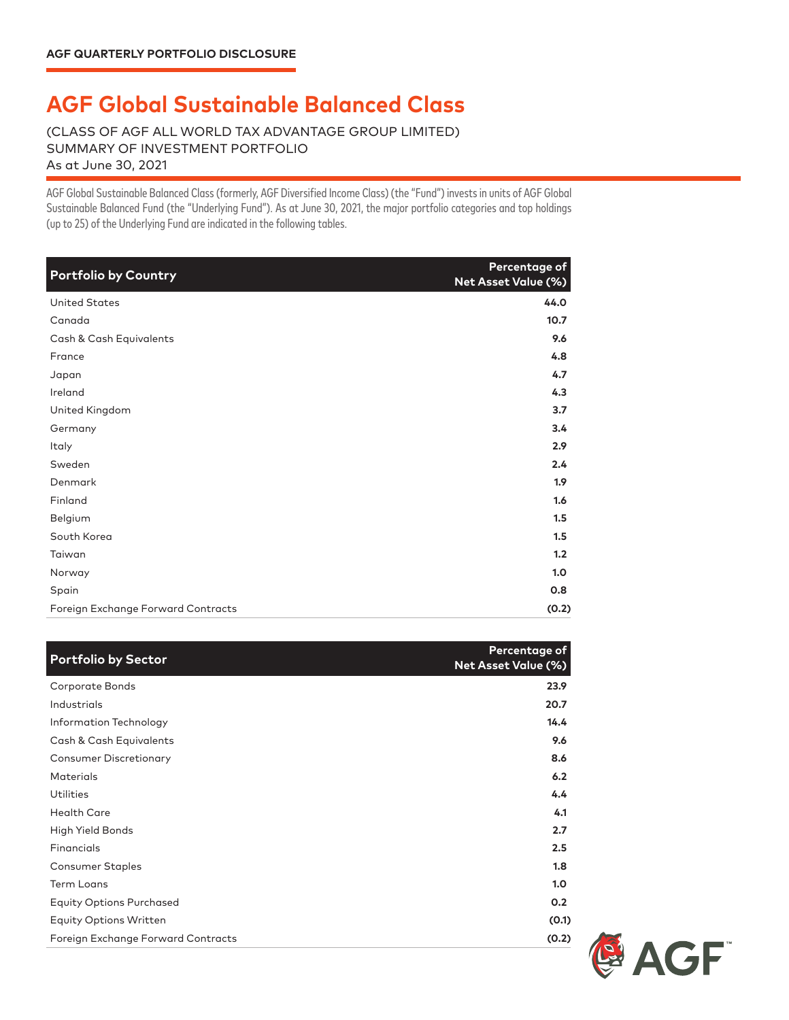## **AGF Global Sustainable Balanced Class**

(CLASS OF AGF ALL WORLD TAX ADVANTAGE GROUP LIMITED) SUMMARY OF INVESTMENT PORTFOLIO As at June 30, 2021

AGF Global Sustainable Balanced Class (formerly, AGF Diversified Income Class) (the "Fund") invests in units of AGF Global Sustainable Balanced Fund (the "Underlying Fund"). As at June 30, 2021, the major portfolio categories and top holdings (up to 25) of the Underlying Fund are indicated in the following tables.

| <b>Portfolio by Country</b>        | Percentage of<br>Net Asset Value (%) |
|------------------------------------|--------------------------------------|
| <b>United States</b>               | 44.0                                 |
| Canada                             | 10.7                                 |
| Cash & Cash Equivalents            | 9.6                                  |
| France                             | 4.8                                  |
| Japan                              | 4.7                                  |
| Ireland                            | 4.3                                  |
| United Kingdom                     | 3.7                                  |
| Germany                            | 3.4                                  |
| Italy                              | 2.9                                  |
| Sweden                             | 2.4                                  |
| Denmark                            | 1.9                                  |
| Finland                            | 1.6                                  |
| Belgium                            | 1.5                                  |
| South Korea                        | 1.5                                  |
| Taiwan                             | 1.2                                  |
| Norway                             | 1.0                                  |
| Spain                              | 0.8                                  |
| Foreign Exchange Forward Contracts | (0.2)                                |

| <b>Portfolio by Sector</b>         | Percentage of<br><b>Net Asset Value (%)</b> |
|------------------------------------|---------------------------------------------|
| Corporate Bonds                    | 23.9                                        |
| Industrials                        | 20.7                                        |
| Information Technology             | 14.4                                        |
| Cash & Cash Equivalents            | 9.6                                         |
| <b>Consumer Discretionary</b>      | 8.6                                         |
| <b>Materials</b>                   | 6.2                                         |
| <b>Utilities</b>                   | 4.4                                         |
| <b>Health Care</b>                 | 4.1                                         |
| High Yield Bonds                   | 2.7                                         |
| Financials                         | 2.5                                         |
| Consumer Staples                   | 1.8                                         |
| <b>Term Loans</b>                  | 1.0                                         |
| <b>Equity Options Purchased</b>    | 0.2                                         |
| <b>Equity Options Written</b>      | (0.1)                                       |
| Foreign Exchange Forward Contracts | (0.2)                                       |

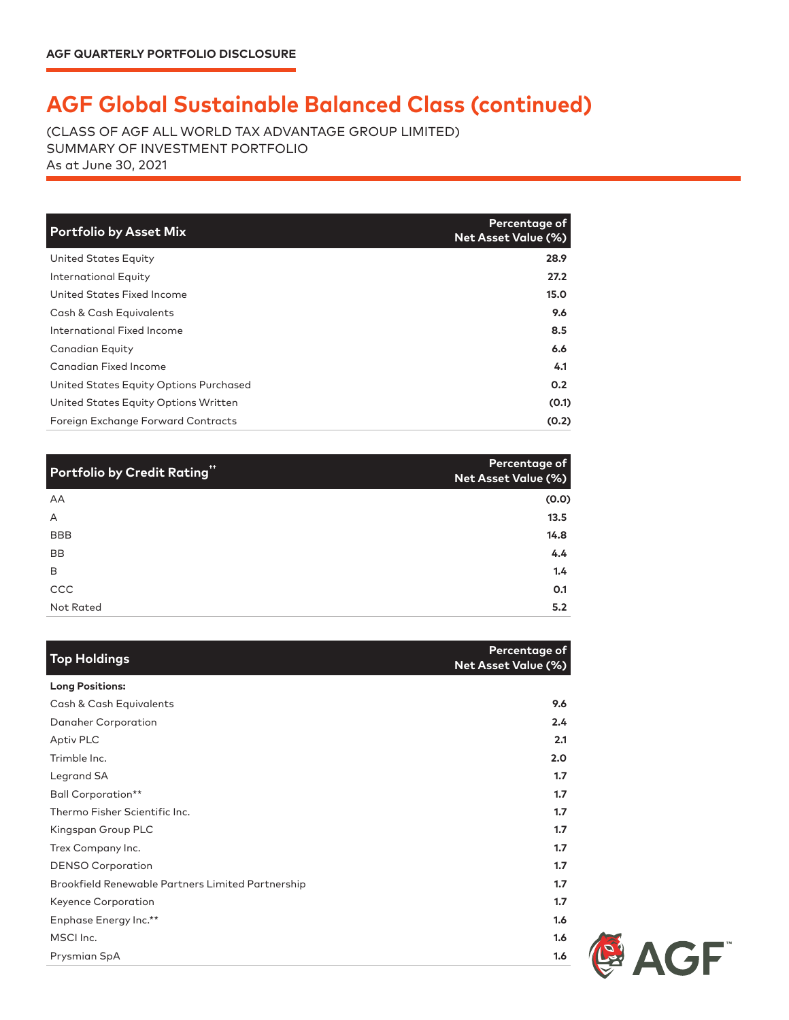## **AGF Global Sustainable Balanced Class (continued)**

(CLASS OF AGF ALL WORLD TAX ADVANTAGE GROUP LIMITED) SUMMARY OF INVESTMENT PORTFOLIO As at June 30, 2021

| <b>Portfolio by Asset Mix</b>          | Percentage of<br><b>Net Asset Value (%)</b> |
|----------------------------------------|---------------------------------------------|
| United States Equity                   | 28.9                                        |
| International Equity                   | 27.2                                        |
| United States Fixed Income             | 15.0                                        |
| Cash & Cash Equivalents                | 9.6                                         |
| International Fixed Income             | 8.5                                         |
| Canadian Equity                        | 6.6                                         |
| Canadian Fixed Income                  | 4.1                                         |
| United States Equity Options Purchased | 0.2                                         |
| United States Equity Options Written   | (0.1)                                       |
| Foreign Exchange Forward Contracts     | (0.2)                                       |

| <b>Portfolio by Credit Rating"</b> | Percentage of<br>Net Asset Value (%) |
|------------------------------------|--------------------------------------|
| AA                                 | (0.0)                                |
| A                                  | 13.5                                 |
| <b>BBB</b>                         | 14.8                                 |
| <b>BB</b>                          | 4.4                                  |
| B                                  | 1.4                                  |
| CCC                                | O.1                                  |
| Not Rated                          | 5.2                                  |

| <b>Top Holdings</b>                               | Percentage of<br><b>Net Asset Value (%)</b> |
|---------------------------------------------------|---------------------------------------------|
| <b>Long Positions:</b>                            |                                             |
| Cash & Cash Equivalents                           | 9.6                                         |
| Danaher Corporation                               | 2.4                                         |
| Aptiv PLC                                         | 2.1                                         |
| Trimble Inc.                                      | 2.0                                         |
| Legrand SA                                        | 1.7                                         |
| <b>Ball Corporation**</b>                         | 1.7                                         |
| Thermo Fisher Scientific Inc.                     | 1.7                                         |
| Kingspan Group PLC                                | 1.7                                         |
| Trex Company Inc.                                 | 1.7                                         |
| <b>DENSO Corporation</b>                          | 1.7                                         |
| Brookfield Renewable Partners Limited Partnership | 1.7                                         |
| Keyence Corporation                               | 1.7                                         |
| Enphase Energy Inc.**                             | 1.6                                         |
| MSCI Inc.                                         | 1.6                                         |
| Prysmian SpA                                      | 1.6                                         |